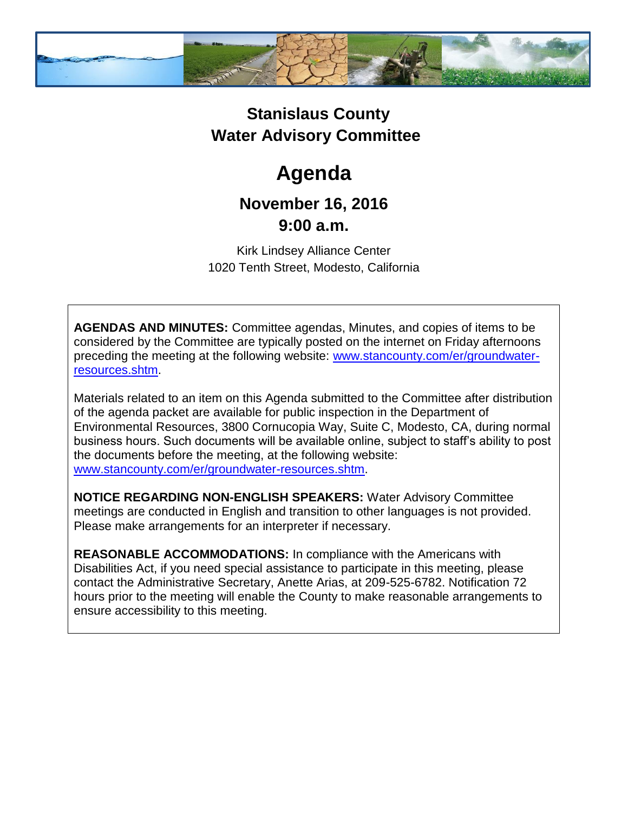

## **Stanislaus County Water Advisory Committee**

# **Agenda**

### **November 16, 2016 9:00 a.m.**

Kirk Lindsey Alliance Center 1020 Tenth Street, Modesto, California

**AGENDAS AND MINUTES:** Committee agendas, Minutes, and copies of items to be considered by the Committee are typically posted on the internet on Friday afternoons preceding the meeting at the following website: [www.stancounty.com/er/groundwater](http://www.stancounty.com/er/groundwater-resources.shtm)[resources.shtm.](http://www.stancounty.com/er/groundwater-resources.shtm)

Materials related to an item on this Agenda submitted to the Committee after distribution of the agenda packet are available for public inspection in the Department of Environmental Resources, 3800 Cornucopia Way, Suite C, Modesto, CA, during normal business hours. Such documents will be available online, subject to staff's ability to post the documents before the meeting, at the following website: [www.stancounty.com/er/groundwater-resources.shtm.](http://www.stancounty.com/er/groundwater-resources.shtm)

**NOTICE REGARDING NON-ENGLISH SPEAKERS:** Water Advisory Committee meetings are conducted in English and transition to other languages is not provided. Please make arrangements for an interpreter if necessary.

**REASONABLE ACCOMMODATIONS:** In compliance with the Americans with Disabilities Act, if you need special assistance to participate in this meeting, please contact the Administrative Secretary, Anette Arias, at 209-525-6782. Notification 72 hours prior to the meeting will enable the County to make reasonable arrangements to ensure accessibility to this meeting.